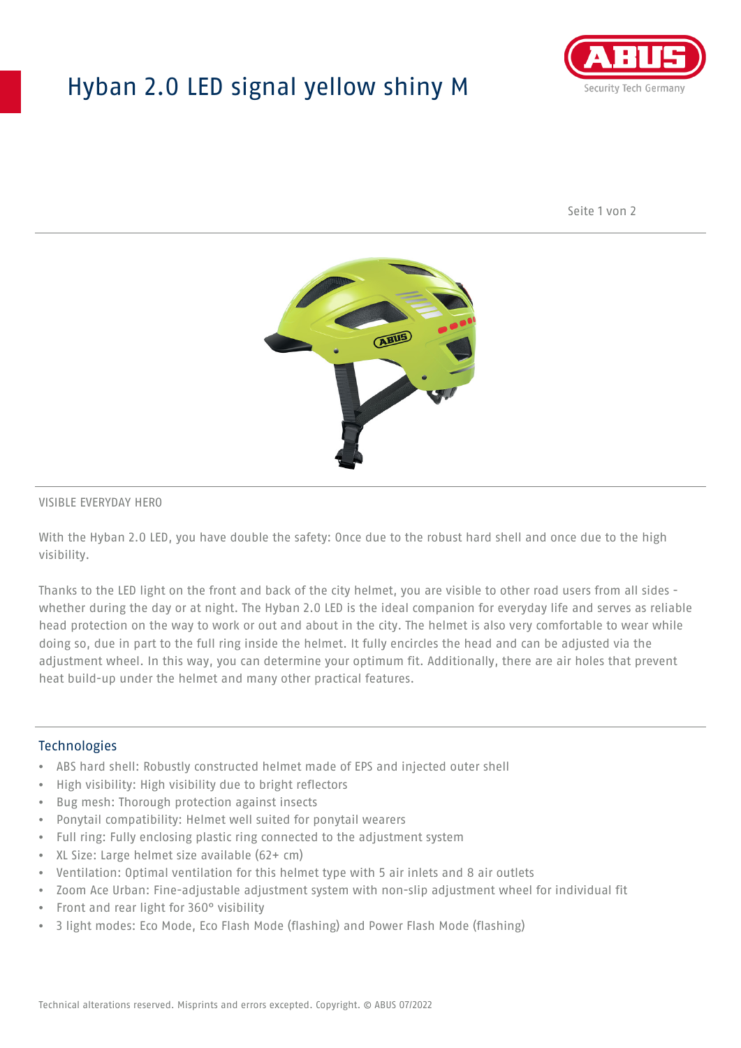## Hyban 2.0 LED signal yellow shiny M



Seite 1 von 2



#### VISIBLE EVERYDAY HERO

With the Hyban 2.0 LED, you have double the safety: Once due to the robust hard shell and once due to the high visibility.

Thanks to the LED light on the front and back of the city helmet, you are visible to other road users from all sides whether during the day or at night. The Hyban 2.0 LED is the ideal companion for everyday life and serves as reliable head protection on the way to work or out and about in the city. The helmet is also very comfortable to wear while doing so, due in part to the full ring inside the helmet. It fully encircles the head and can be adjusted via the adjustment wheel. In this way, you can determine your optimum fit. Additionally, there are air holes that prevent heat build-up under the helmet and many other practical features.

#### Technologies

- ABS hard shell: Robustly constructed helmet made of EPS and injected outer shell
- High visibility: High visibility due to bright reflectors
- Bug mesh: Thorough protection against insects
- Ponytail compatibility: Helmet well suited for ponytail wearers
- Full ring: Fully enclosing plastic ring connected to the adjustment system
- XL Size: Large helmet size available (62+ cm)
- Ventilation: Optimal ventilation for this helmet type with 5 air inlets and 8 air outlets
- Zoom Ace Urban: Fine-adjustable adjustment system with non-slip adjustment wheel for individual fit
- Front and rear light for 360° visibility
- 3 light modes: Eco Mode, Eco Flash Mode (flashing) and Power Flash Mode (flashing)